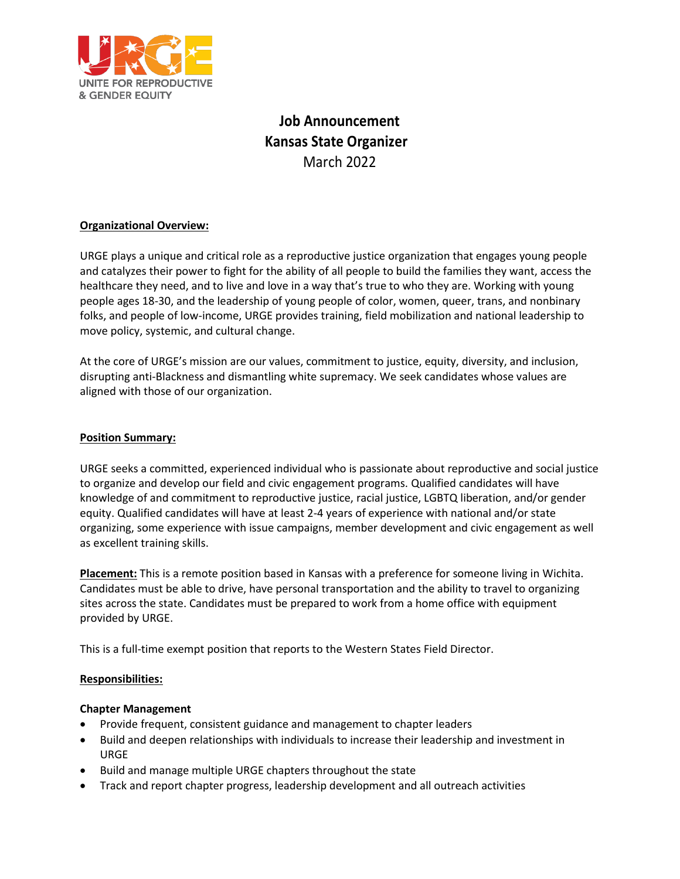

# **Job Announcement Kansas State Organizer**  March 2022

## **Organizational Overview:**

URGE plays a unique and critical role as a reproductive justice organization that engages young people and catalyzes their power to fight for the ability of all people to build the families they want, access the healthcare they need, and to live and love in a way that's true to who they are. Working with young people ages 18-30, and the leadership of young people of color, women, queer, trans, and nonbinary folks, and people of low-income, URGE provides training, field mobilization and national leadership to move policy, systemic, and cultural change.

At the core of URGE's mission are our values, commitment to justice, equity, diversity, and inclusion, disrupting anti-Blackness and dismantling white supremacy. We seek candidates whose values are aligned with those of our organization.

## **Position Summary:**

URGE seeks a committed, experienced individual who is passionate about reproductive and social justice to organize and develop our field and civic engagement programs. Qualified candidates will have knowledge of and commitment to reproductive justice, racial justice, LGBTQ liberation, and/or gender equity. Qualified candidates will have at least 2-4 years of experience with national and/or state organizing, some experience with issue campaigns, member development and civic engagement as well as excellent training skills.

**Placement:** This is a remote position based in Kansas with a preference for someone living in Wichita. Candidates must be able to drive, have personal transportation and the ability to travel to organizing sites across the state. Candidates must be prepared to work from a home office with equipment provided by URGE.

This is a full-time exempt position that reports to the Western States Field Director.

## **Responsibilities:**

## **Chapter Management**

- Provide frequent, consistent guidance and management to chapter leaders
- Build and deepen relationships with individuals to increase their leadership and investment in URGE
- Build and manage multiple URGE chapters throughout the state
- Track and report chapter progress, leadership development and all outreach activities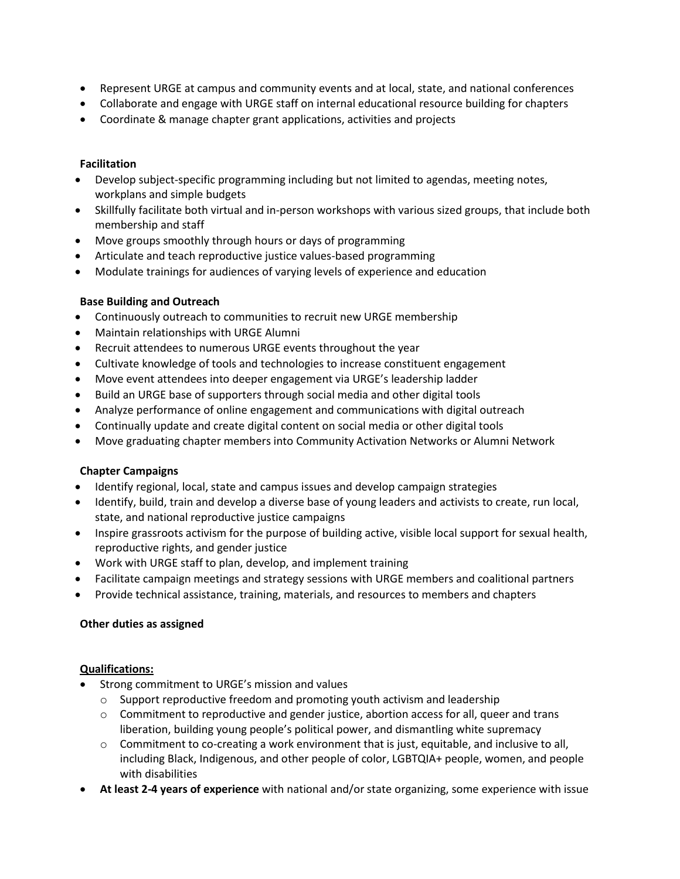- Represent URGE at campus and community events and at local, state, and national conferences
- Collaborate and engage with URGE staff on internal educational resource building for chapters
- Coordinate & manage chapter grant applications, activities and projects

## **Facilitation**

- Develop subject-specific programming including but not limited to agendas, meeting notes, workplans and simple budgets
- Skillfully facilitate both virtual and in-person workshops with various sized groups, that include both membership and staff
- Move groups smoothly through hours or days of programming
- Articulate and teach reproductive justice values-based programming
- Modulate trainings for audiences of varying levels of experience and education

# **Base Building and Outreach**

- Continuously outreach to communities to recruit new URGE membership
- Maintain relationships with URGE Alumni
- Recruit attendees to numerous URGE events throughout the year
- Cultivate knowledge of tools and technologies to increase constituent engagement
- Move event attendees into deeper engagement via URGE's leadership ladder
- Build an URGE base of supporters through social media and other digital tools
- Analyze performance of online engagement and communications with digital outreach
- Continually update and create digital content on social media or other digital tools
- Move graduating chapter members into Community Activation Networks or Alumni Network

# **Chapter Campaigns**

- Identify regional, local, state and campus issues and develop campaign strategies
- Identify, build, train and develop a diverse base of young leaders and activists to create, run local, state, and national reproductive justice campaigns
- Inspire grassroots activism for the purpose of building active, visible local support for sexual health, reproductive rights, and gender justice
- Work with URGE staff to plan, develop, and implement training
- Facilitate campaign meetings and strategy sessions with URGE members and coalitional partners
- Provide technical assistance, training, materials, and resources to members and chapters

## **Other duties as assigned**

## **Qualifications:**

- Strong commitment to URGE's mission and values
	- $\circ$  Support reproductive freedom and promoting youth activism and leadership
	- $\circ$  Commitment to reproductive and gender justice, abortion access for all, queer and trans liberation, building young people's political power, and dismantling white supremacy
	- o Commitment to co-creating a work environment that is just, equitable, and inclusive to all, including Black, Indigenous, and other people of color, LGBTQIA+ people, women, and people with disabilities
- **At least 2-4 years of experience** with national and/or state organizing, some experience with issue